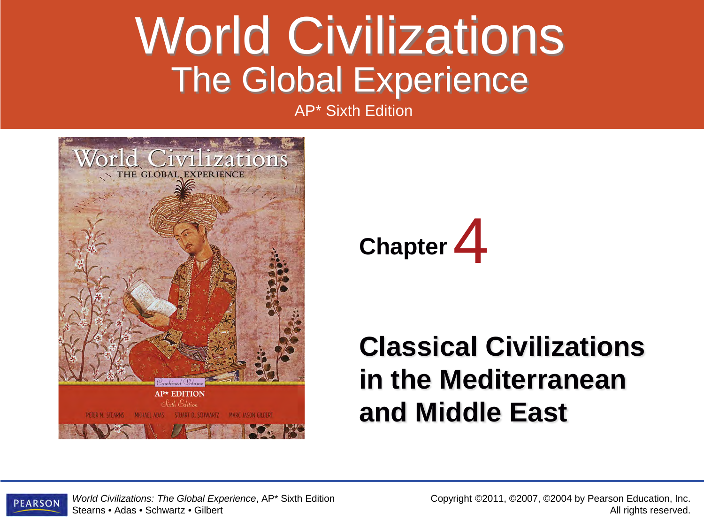#### World Civilizations The Global Experience

AP\* Sixth Edition





#### **Classical Civilizations in the Mediterranean and Middle East**



*World Civilizations: The Global Experience*, AP\* Sixth Edition Stearns • Adas • Schwartz • Gilbert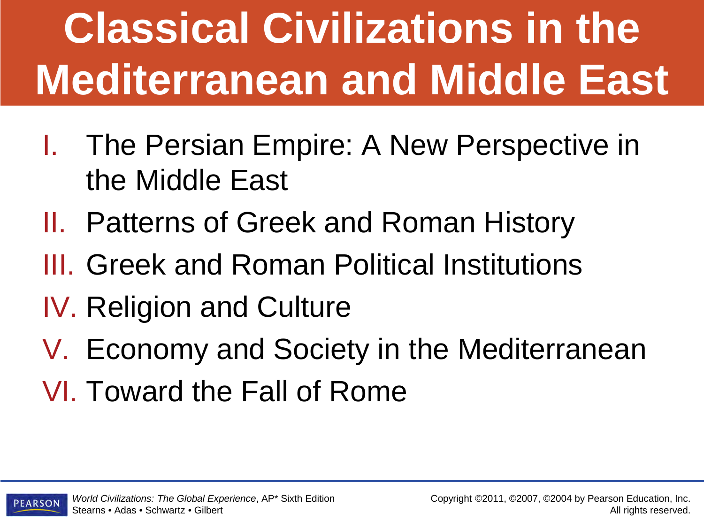# **Classical Civilizations in the Mediterranean and Middle East**

- I. The Persian Empire: A New Perspective in the Middle East
- II. Patterns of Greek and Roman History
- III. Greek and Roman Political Institutions
- IV. Religion and Culture
- V. Economy and Society in the Mediterranean
- VI. Toward the Fall of Rome

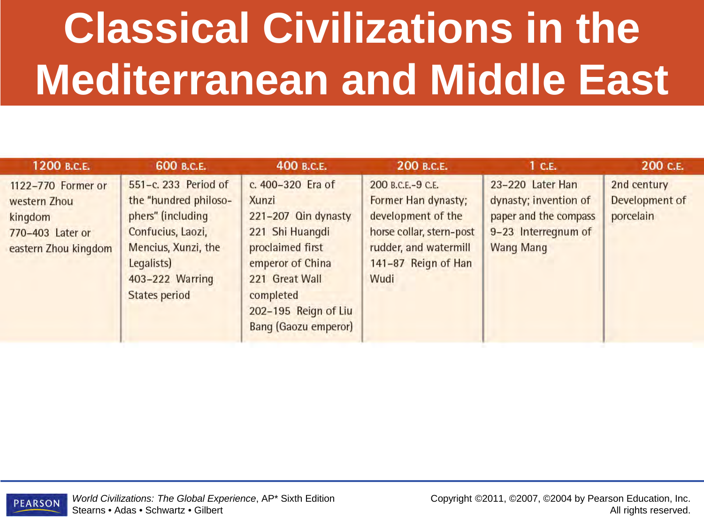# **Classical Civilizations in the Mediterranean and Middle East**

| 1200 B.C.E.                                                                               | 600 B.C.E.                                                                                                                                                              | 400 в.с.е.                                                                                                                                                                                         | 200 B.C.E.                                                                                                                                         | 1 <sub>c.E.</sub>                                                                                             | 200 C.E.                                   |
|-------------------------------------------------------------------------------------------|-------------------------------------------------------------------------------------------------------------------------------------------------------------------------|----------------------------------------------------------------------------------------------------------------------------------------------------------------------------------------------------|----------------------------------------------------------------------------------------------------------------------------------------------------|---------------------------------------------------------------------------------------------------------------|--------------------------------------------|
| 1122-770 Former or<br>western Zhou<br>kingdom<br>770-403 Later or<br>eastern Zhou kingdom | 551-c. 233 Period of<br>the "hundred philoso-<br>phers" (including<br>Confucius, Laozi,<br>Mencius, Xunzi, the<br>Legalists)<br>403-222 Warring<br><b>States period</b> | c. 400-320 Era of<br>Xunzi<br>221-207 Qin dynasty<br>221 Shi Huangdi<br>proclaimed first<br>emperor of China<br>221 Great Wall<br>completed<br>202-195 Reign of Liu<br><b>Bang (Gaozu emperor)</b> | 200 B.C.E.-9 C.E.<br>Former Han dynasty;<br>development of the<br>horse collar, stern-post<br>rudder, and watermill<br>141-87 Reign of Han<br>Wudi | 23-220 Later Han<br>dynasty; invention of<br>paper and the compass<br>9-23 Interregnum of<br><b>Wang Mang</b> | 2nd century<br>Development of<br>porcelain |

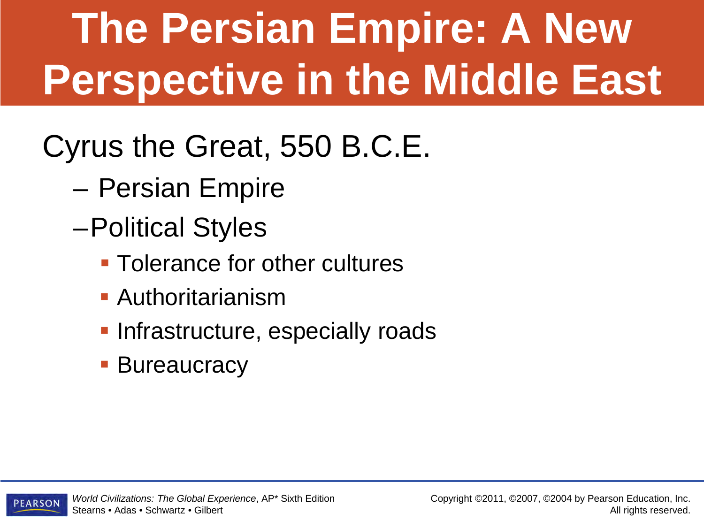# **The Persian Empire: A New Perspective in the Middle East**

Cyrus the Great, 550 B.C.E.

- Persian Empire
- –Political Styles
	- **Tolerance for other cultures**
	- Authoritarianism
	- **Infrastructure, especially roads**
	- **Bureaucracy**

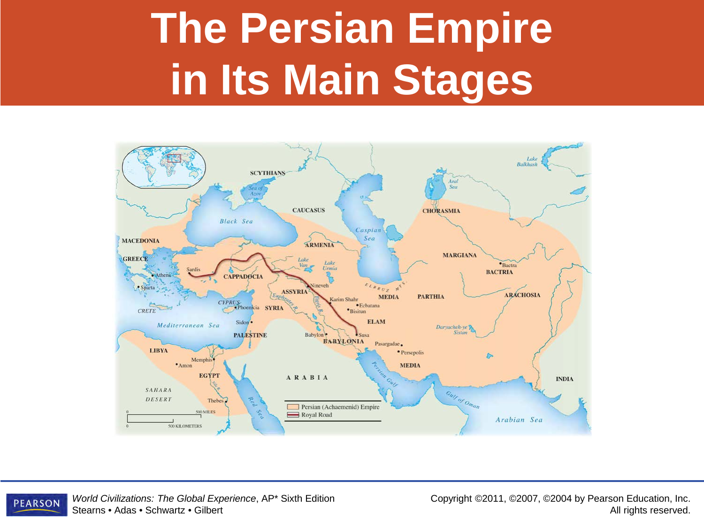### **The Persian Empire in Its Main Stages**





*World Civilizations: The Global Experience*, AP\* Sixth Edition Stearns • Adas • Schwartz • Gilbert

Copyright ©2011, ©2007, ©2004 by Pearson Education, Inc. All rights reserved.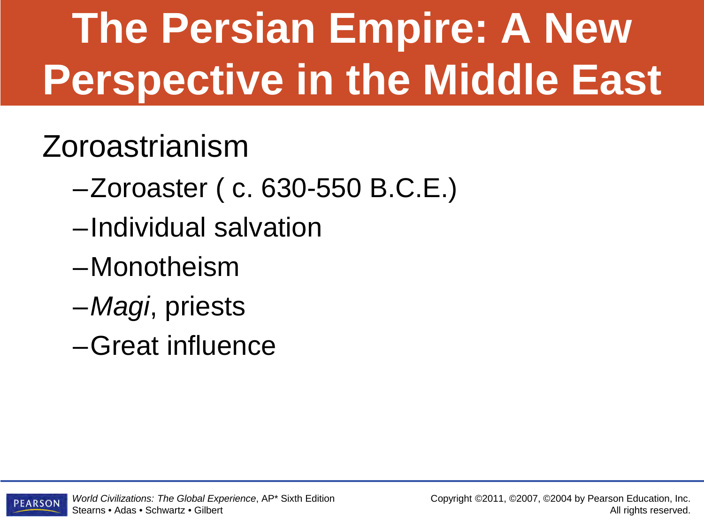# **The Persian Empire: A New Perspective in the Middle East**

#### Zoroastrianism

- –Zoroaster ( c. 630-550 B.C.E.)
- –Individual salvation
- –Monotheism
- –*Magi*, priests
- –Great influence

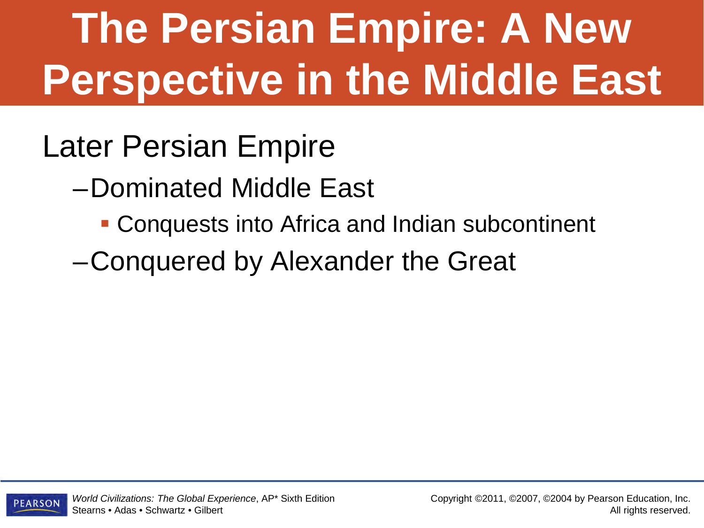# **The Persian Empire: A New Perspective in the Middle East**

#### Later Persian Empire

–Dominated Middle East

- Conquests into Africa and Indian subcontinent
- –Conquered by Alexander the Great

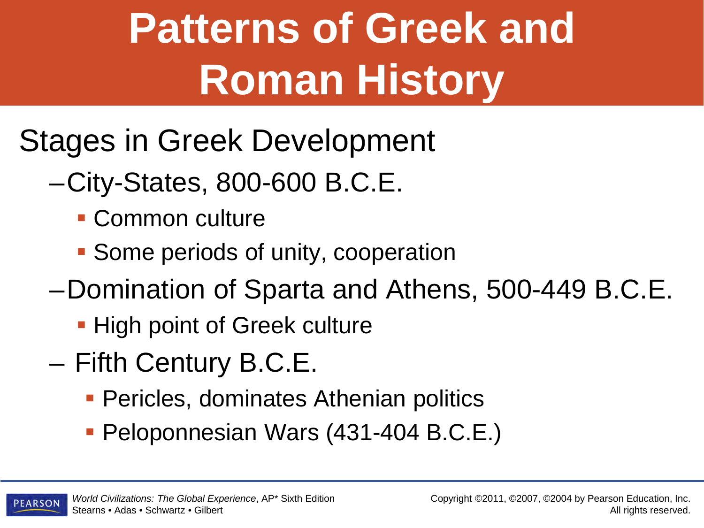## **Patterns of Greek and Roman History**

- Stages in Greek Development
	- –City-States, 800-600 B.C.E.
		- **Common culture**
		- **Some periods of unity, cooperation**
	- –Domination of Sparta and Athens, 500-449 B.C.E.
		- **High point of Greek culture**
	- Fifth Century B.C.E.
		- **Pericles, dominates Athenian politics**
		- **Peloponnesian Wars (431-404 B.C.E.)**

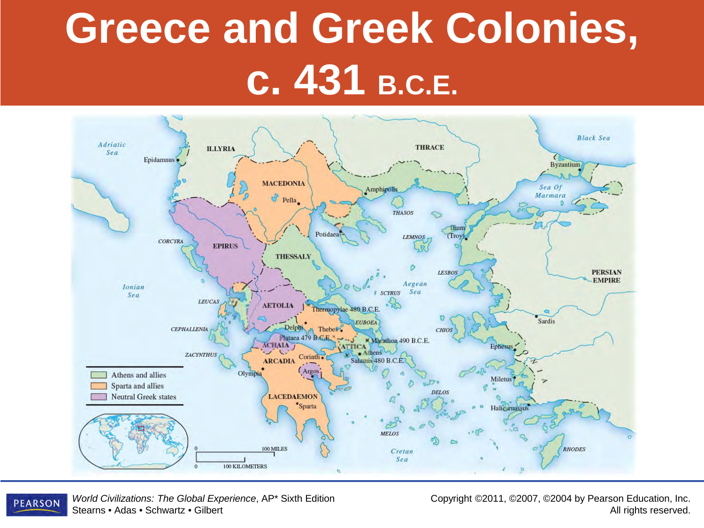### **Greece and Greek Colonies, c. 431 B.C.E.**



*World Civilizations: The Global Experience*, AP\* Sixth Edition **PEARSON** Stearns • Adas • Schwartz • Gilbert

Copyright ©2011, ©2007, ©2004 by Pearson Education, Inc. All rights reserved.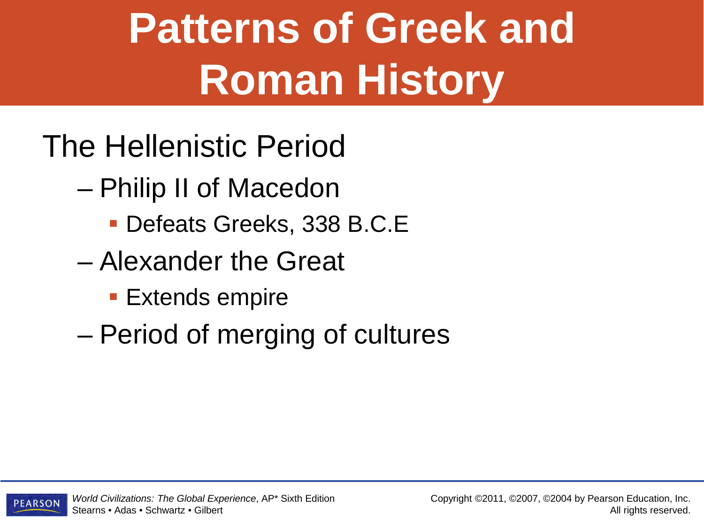### **Patterns of Greek and Roman History**

- The Hellenistic Period
	- Philip II of Macedon
		- Defeats Greeks, 338 B.C.E
	- Alexander the Great
		- **Extends empire**
	- Period of merging of cultures

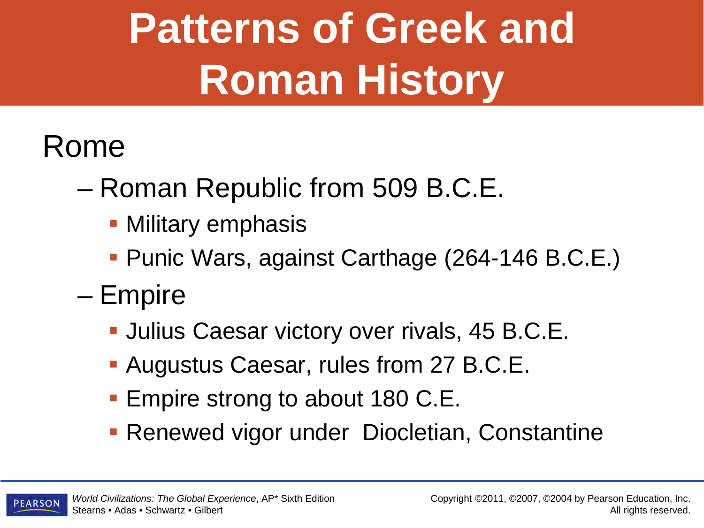# **Patterns of Greek and Roman History**

#### Rome

- Roman Republic from 509 B.C.E.
	- Military emphasis
	- Punic Wars, against Carthage (264-146 B.C.E.)
- Empire
	- **Julius Caesar victory over rivals, 45 B.C.E.**
	- Augustus Caesar, rules from 27 B.C.E.
	- **Empire strong to about 180 C.E.**
	- **Renewed vigor under Diocletian, Constantine**

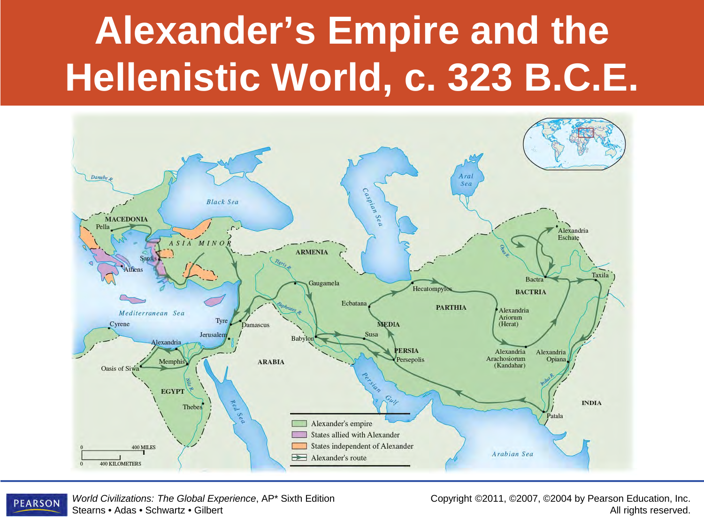### **Alexander's Empire and the Hellenistic World, c. 323 B.C.E.**





*World Civilizations: The Global Experience*, AP\* Sixth Edition Stearns • Adas • Schwartz • Gilbert

Copyright ©2011, ©2007, ©2004 by Pearson Education, Inc. All rights reserved.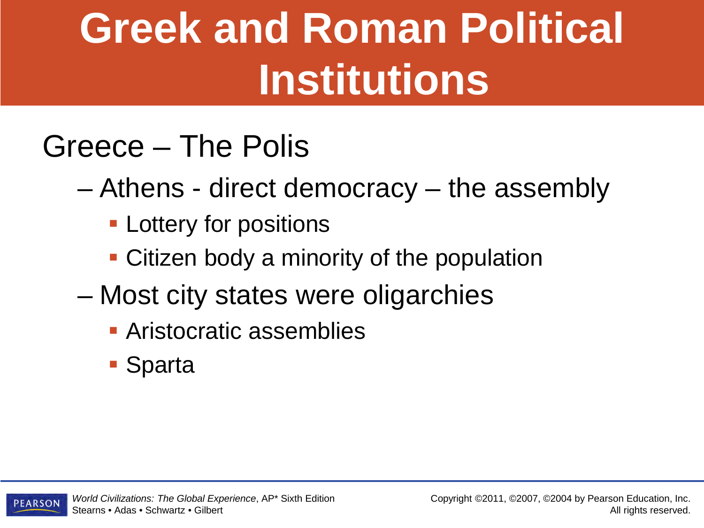#### Greece – The Polis

– Athens - direct democracy – the assembly

- **Lottery for positions**
- Citizen body a minority of the population
- Most city states were oligarchies
	- **Aristocratic assemblies**
	- **Sparta**

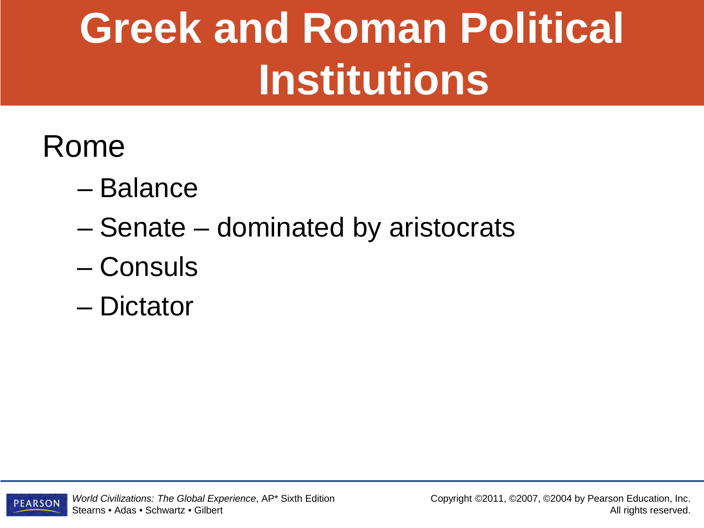#### Rome

- Balance
- Senate dominated by aristocrats
- Consuls
- Dictator

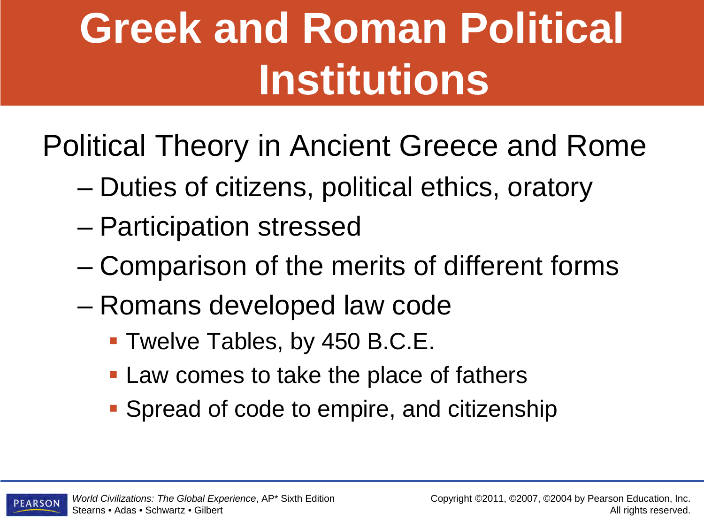Political Theory in Ancient Greece and Rome

- Duties of citizens, political ethics, oratory
- Participation stressed
- Comparison of the merits of different forms
- Romans developed law code
	- Twelve Tables, by 450 B.C.E.
	- **Law comes to take the place of fathers**
	- Spread of code to empire, and citizenship

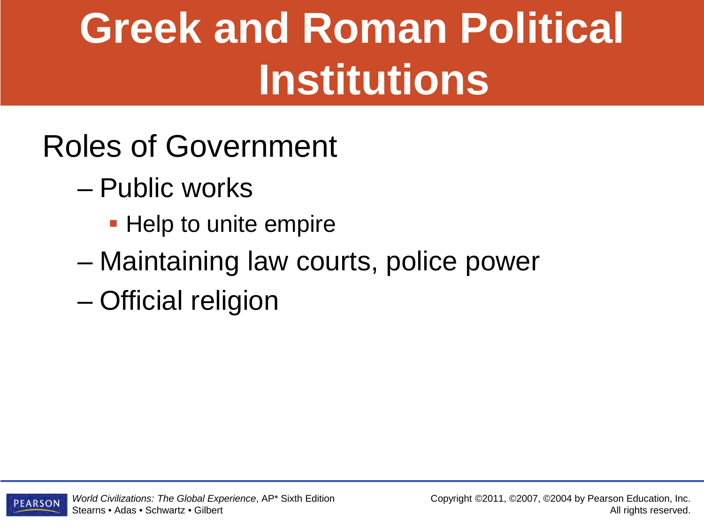#### Roles of Government

- Public works
	- **Help to unite empire**
- Maintaining law courts, police power
- Official religion

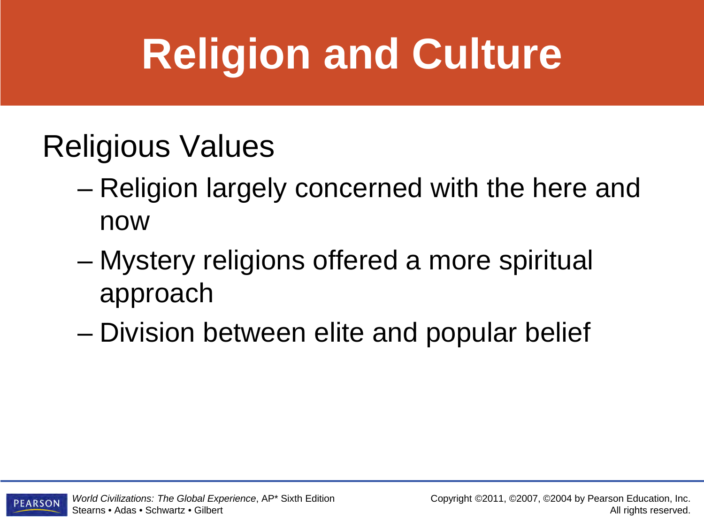#### Religious Values

- Religion largely concerned with the here and now
- Mystery religions offered a more spiritual approach
- Division between elite and popular belief

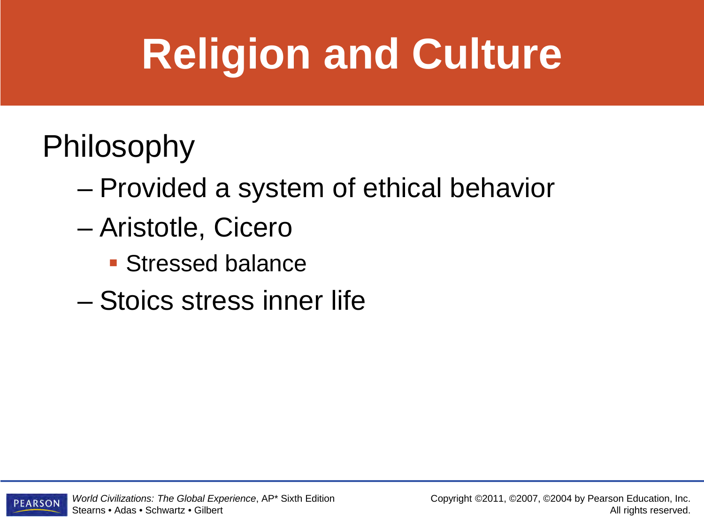#### Philosophy

- Provided a system of ethical behavior
- Aristotle, Cicero
	- **Stressed balance**
- Stoics stress inner life

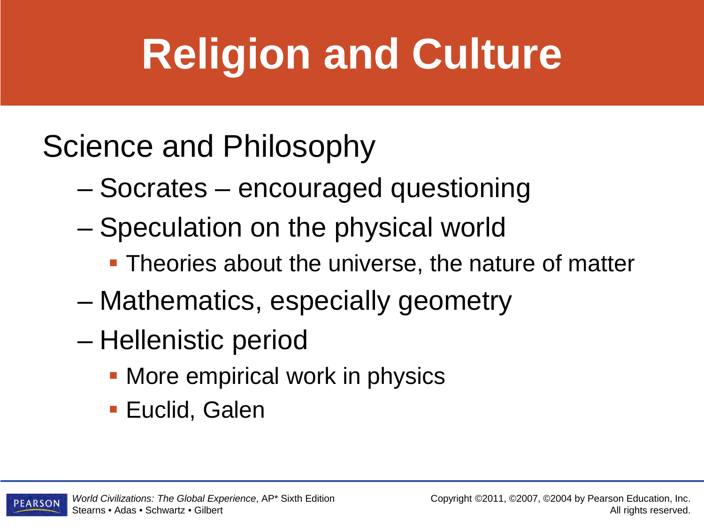#### Science and Philosophy

- Socrates encouraged questioning
- Speculation on the physical world
	- **Theories about the universe, the nature of matter**
- Mathematics, especially geometry
- Hellenistic period
	- More empirical work in physics
	- **Euclid, Galen**

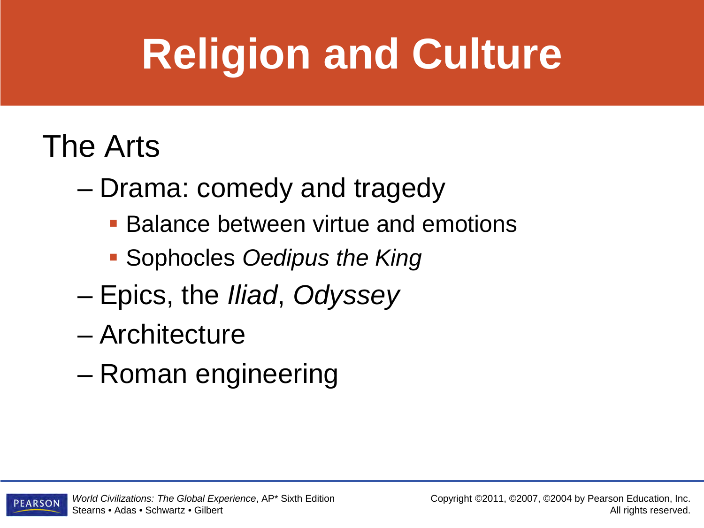#### The Arts

- Drama: comedy and tragedy
	- Balance between virtue and emotions
	- Sophocles *Oedipus the King*
- Epics, the *Iliad*, *Odyssey*
- Architecture
- Roman engineering

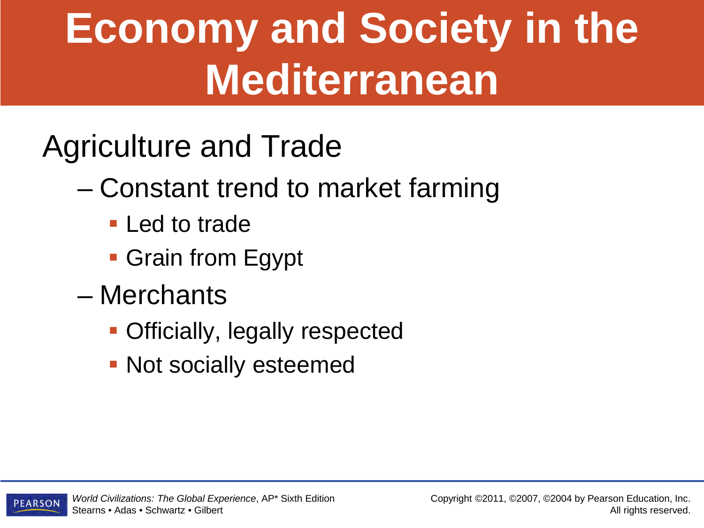### **Economy and Society in the Mediterranean**

- Agriculture and Trade
	- Constant trend to market farming
		- **Led to trade**
		- **Grain from Egypt**
	- Merchants
		- Officially, legally respected
		- **Not socially esteemed**

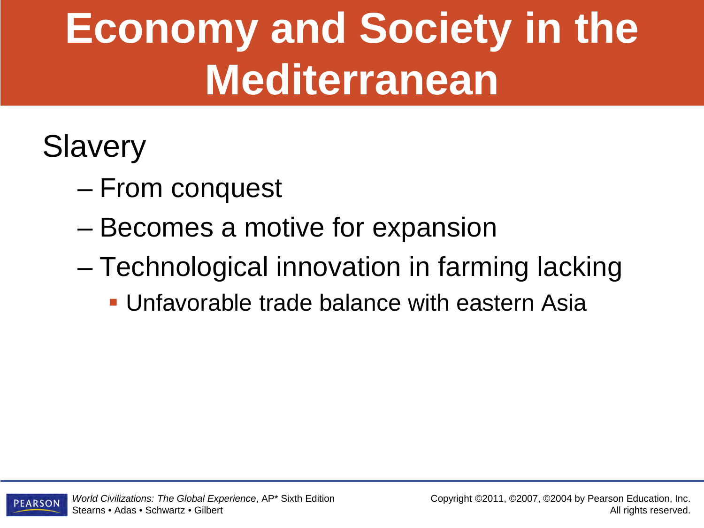### **Economy and Society in the Mediterranean**

#### **Slavery**

- From conquest
- Becomes a motive for expansion
- Technological innovation in farming lacking
	- Unfavorable trade balance with eastern Asia

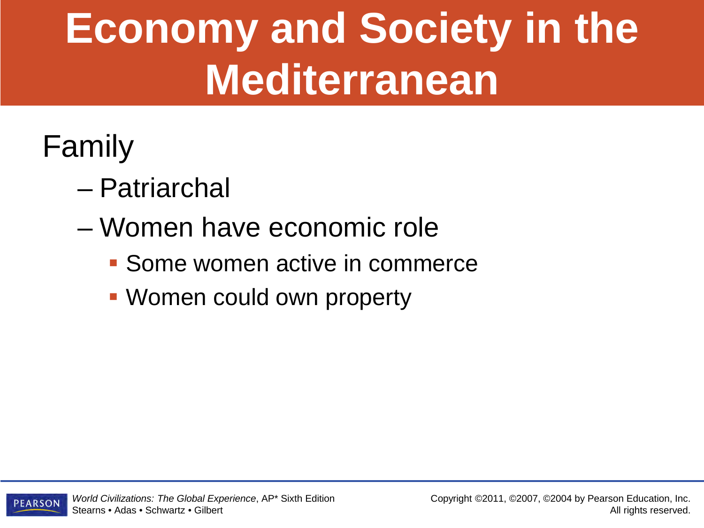### **Economy and Society in the Mediterranean**

#### Family

- Patriarchal
- Women have economic role
	- Some women active in commerce
	- Women could own property

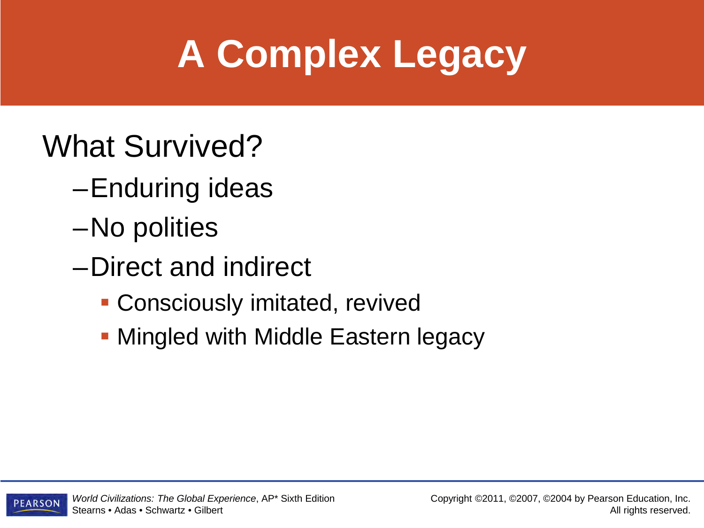### **A Complex Legacy**

#### What Survived?

- –Enduring ideas
- –No polities
- –Direct and indirect
	- **Consciously imitated, revived**
	- **Mingled with Middle Eastern legacy**